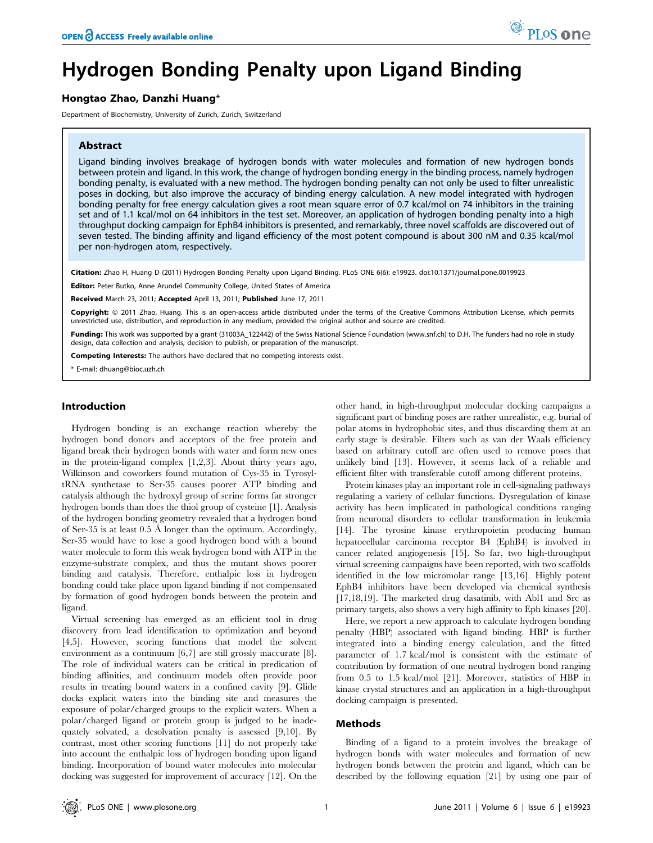# Hydrogen Bonding Penalty upon Ligand Binding

# Hongtao Zhao, Danzhi Huang\*

Department of Biochemistry, University of Zurich, Zurich, Switzerland

# Abstract

Ligand binding involves breakage of hydrogen bonds with water molecules and formation of new hydrogen bonds between protein and ligand. In this work, the change of hydrogen bonding energy in the binding process, namely hydrogen bonding penalty, is evaluated with a new method. The hydrogen bonding penalty can not only be used to filter unrealistic poses in docking, but also improve the accuracy of binding energy calculation. A new model integrated with hydrogen bonding penalty for free energy calculation gives a root mean square error of 0.7 kcal/mol on 74 inhibitors in the training set and of 1.1 kcal/mol on 64 inhibitors in the test set. Moreover, an application of hydrogen bonding penalty into a high throughput docking campaign for EphB4 inhibitors is presented, and remarkably, three novel scaffolds are discovered out of seven tested. The binding affinity and ligand efficiency of the most potent compound is about 300 nM and 0.35 kcal/mol per non-hydrogen atom, respectively.

Citation: Zhao H, Huang D (2011) Hydrogen Bonding Penalty upon Ligand Binding. PLoS ONE 6(6): e19923. doi:10.1371/journal.pone.0019923

Editor: Peter Butko, Anne Arundel Community College, United States of America

Received March 23, 2011; Accepted April 13, 2011; Published June 17, 2011

Copyright: © 2011 Zhao, Huang. This is an open-access article distributed under the terms of the Creative Commons Attribution License, which permits unrestricted use, distribution, and reproduction in any medium, provided the original author and source are credited.

Funding: This work was supported by a grant (31003A 122442) of the Swiss National Science Foundation (www.snf.ch) to D.H. The funders had no role in study design, data collection and analysis, decision to publish, or preparation of the manuscript.

Competing Interests: The authors have declared that no competing interests exist.

\* E-mail: dhuang@bioc.uzh.ch

# Introduction

Hydrogen bonding is an exchange reaction whereby the hydrogen bond donors and acceptors of the free protein and ligand break their hydrogen bonds with water and form new ones in the protein-ligand complex [1,2,3]. About thirty years ago, Wilkinson and coworkers found mutation of Cys-35 in TyrosyltRNA synthetase to Ser-35 causes poorer ATP binding and catalysis although the hydroxyl group of serine forms far stronger hydrogen bonds than does the thiol group of cysteine [1]. Analysis of the hydrogen bonding geometry revealed that a hydrogen bond of Ser-35 is at least 0.5 Å longer than the optimum. Accordingly, Ser-35 would have to lose a good hydrogen bond with a bound water molecule to form this weak hydrogen bond with ATP in the enzyme-substrate complex, and thus the mutant shows poorer binding and catalysis. Therefore, enthalpic loss in hydrogen bonding could take place upon ligand binding if not compensated by formation of good hydrogen bonds between the protein and ligand.

Virtual screening has emerged as an efficient tool in drug discovery from lead identification to optimization and beyond [4,5]. However, scoring functions that model the solvent environment as a continuum [6,7] are still grossly inaccurate [8]. The role of individual waters can be critical in predication of binding affinities, and continuum models often provide poor results in treating bound waters in a confined cavity [9]. Glide docks explicit waters into the binding site and measures the exposure of polar/charged groups to the explicit waters. When a polar/charged ligand or protein group is judged to be inadequately solvated, a desolvation penalty is assessed [9,10]. By contrast, most other scoring functions [11] do not properly take into account the enthalpic loss of hydrogen bonding upon ligand binding. Incorporation of bound water molecules into molecular docking was suggested for improvement of accuracy [12]. On the other hand, in high-throughput molecular docking campaigns a significant part of binding poses are rather unrealistic, e.g. burial of polar atoms in hydrophobic sites, and thus discarding them at an early stage is desirable. Filters such as van der Waals efficiency based on arbitrary cutoff are often used to remove poses that unlikely bind [13]. However, it seems lack of a reliable and efficient filter with transferable cutoff among different proteins.

Protein kinases play an important role in cell-signaling pathways regulating a variety of cellular functions. Dysregulation of kinase activity has been implicated in pathological conditions ranging from neuronal disorders to cellular transformation in leukemia [14]. The tyrosine kinase erythropoietin producing human hepatocellular carcinoma receptor B4 (EphB4) is involved in cancer related angiogenesis [15]. So far, two high-throughput virtual screening campaigns have been reported, with two scaffolds identified in the low micromolar range [13,16]. Highly potent EphB4 inhibitors have been developed via chemical synthesis [17,18,19]. The marketed drug dasatinib, with Abl1 and Src as primary targets, also shows a very high affinity to Eph kinases [20].

Here, we report a new approach to calculate hydrogen bonding penalty (HBP) associated with ligand binding. HBP is further integrated into a binding energy calculation, and the fitted parameter of 1.7 kcal/mol is consistent with the estimate of contribution by formation of one neutral hydrogen bond ranging from 0.5 to 1.5 kcal/mol [21]. Moreover, statistics of HBP in kinase crystal structures and an application in a high-throughput docking campaign is presented.

## Methods

Binding of a ligand to a protein involves the breakage of hydrogen bonds with water molecules and formation of new hydrogen bonds between the protein and ligand, which can be described by the following equation [21] by using one pair of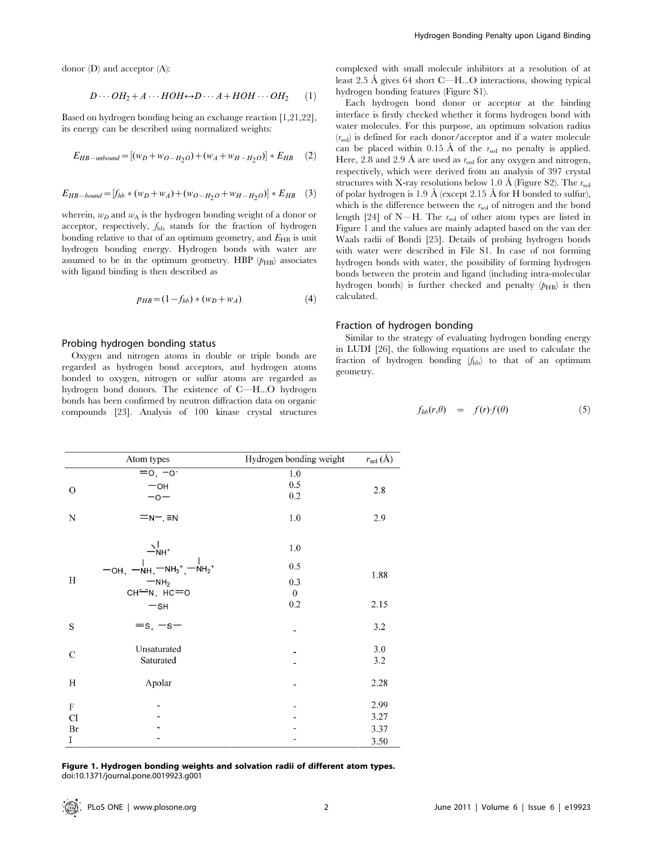donor (D) and acceptor (A):

$$
D \cdots OH_2 + A \cdots HOH \leftrightarrow D \cdots A + HOH \cdots OH_2 \qquad (1)
$$

Based on hydrogen bonding being an exchange reaction [1,21,22], its energy can be described using normalized weights:

$$
E_{HB-unbound} = [(w_D + w_{O-H_2O}) + (w_A + w_{H-H_2O})] * E_{HB} \quad (2)
$$

$$
E_{HB-bound} = [f_{hb} * (w_D + w_A) + (w_{O-H_2O} + w_{H-H_2O})] * E_{HB} \quad (3)
$$

wherein,  $w_D$  and  $w_A$  is the hydrogen bonding weight of a donor or acceptor, respectively,  $f_{hb}$  stands for the fraction of hydrogen bonding relative to that of an optimum geometry, and  $E_{HB}$  is unit hydrogen bonding energy. Hydrogen bonds with water are assumed to be in the optimum geometry. HBP  $(p_{HB})$  associates with ligand binding is then described as

$$
p_{HB} = (1 - f_{hb}) * (w_D + w_A)
$$
 (4)

# Probing hydrogen bonding status

Oxygen and nitrogen atoms in double or triple bonds are regarded as hydrogen bond acceptors, and hydrogen atoms bonded to oxygen, nitrogen or sulfur atoms are regarded as hydrogen bond donors. The existence of C—H...O hydrogen bonds has been confirmed by neutron diffraction data on organic compounds [23]. Analysis of 100 kinase crystal structures

complexed with small molecule inhibitors at a resolution of at least  $2.5 \text{ Å}$  gives  $64 \text{ short } C$ —H...O interactions, showing typical hydrogen bonding features (Figure S1).

Each hydrogen bond donor or acceptor at the binding interface is firstly checked whether it forms hydrogen bond with water molecules. For this purpose, an optimum solvation radius  $(r_{\rm sol})$  is defined for each donor/acceptor and if a water molecule can be placed within 0.15 Å of the  $r_{sol}$  no penalty is applied. Here, 2.8 and 2.9 Å are used as  $r_{sol}$  for any oxygen and nitrogen, respectively, which were derived from an analysis of 397 crystal structures with X-ray resolutions below 1.0 Å (Figure S2). The  $r_{\text{col}}$ of polar hydrogen is  $1.9 \text{ Å}$  (except  $2.15 \text{ Å}$  for H bonded to sulfur), which is the difference between the  $r_{sol}$  of nitrogen and the bond length [24] of N—H. The  $r_{sol}$  of other atom types are listed in Figure 1 and the values are mainly adapted based on the van der Waals radii of Bondi [25]. Details of probing hydrogen bonds with water were described in File S1. In case of not forming hydrogen bonds with water, the possibility of forming hydrogen bonds between the protein and ligand (including intra-molecular hydrogen bonds) is further checked and penalty  $(p_{HB})$  is then calculated.

## Fraction of hydrogen bonding

Similar to the strategy of evaluating hydrogen bonding energy in LUDI [26], the following equations are used to calculate the fraction of hydrogen bonding  $(f_{hb})$  to that of an optimum geometry.

$$
f_{hb}(r,\theta) = f(r)f(\theta) \tag{5}
$$

|               | Atom types         | Hydrogen bonding weight | $r_{sol}(\text{\AA})$ |  |  |
|---------------|--------------------|-------------------------|-----------------------|--|--|
|               | $= 0, -0$          | 1.0                     |                       |  |  |
| $\mathcal{O}$ | $-$ OH             | 0.5                     | 2.8                   |  |  |
|               | $-0-$              | 0.2                     |                       |  |  |
| N             | $=n-$ , $\equiv$ N | 1.0                     | 2.9                   |  |  |
|               |                    | 1.0                     |                       |  |  |
|               |                    | 0.5                     |                       |  |  |
| H             | $-NH2$             | 0.3                     | 1.88                  |  |  |
|               | сн-м, нс=о         | $\boldsymbol{0}$        |                       |  |  |
|               | $-$ SH             | 0.2                     | 2.15                  |  |  |
| S             | $=s, -s-$          |                         | 3.2                   |  |  |
|               | Unsaturated        |                         | 3.0                   |  |  |
| C             | Saturated          |                         | 3.2                   |  |  |
| H             | Apolar             |                         | 2.28                  |  |  |
| ${\bf F}$     |                    |                         | 2.99                  |  |  |
| Cl            |                    |                         | 3.27                  |  |  |
| Br            |                    |                         | 3.37                  |  |  |
| I             |                    |                         | 3.50                  |  |  |

Figure 1. Hydrogen bonding weights and solvation radii of different atom types. doi:10.1371/journal.pone.0019923.g001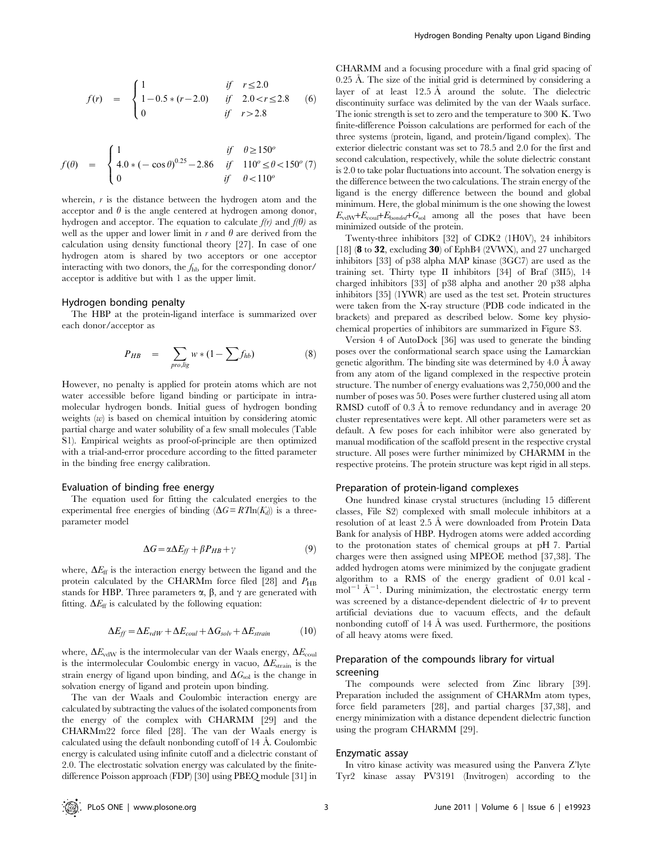$$
f(r) = \begin{cases} 1 & \text{if } r \le 2.0 \\ 1 - 0.5 * (r - 2.0) & \text{if } 2.0 < r \le 2.8 \\ 0 & \text{if } r > 2.8 \end{cases}
$$
 (6)

$$
f(\theta) = \begin{cases} 1 & \text{if } \theta \ge 150^o \\ 4.0 * (-\cos \theta)^{0.25} - 2.86 & \text{if } 110^o \le \theta < 150^o \\ 0 & \text{if } \theta < 110^o \end{cases}
$$

wherein,  $r$  is the distance between the hydrogen atom and the acceptor and  $\theta$  is the angle centered at hydrogen among donor, hydrogen and acceptor. The equation to calculate  $f(r)$  and  $f(\theta)$  as well as the upper and lower limit in  $r$  and  $\theta$  are derived from the calculation using density functional theory [27]. In case of one hydrogen atom is shared by two acceptors or one acceptor interacting with two donors, the  $f_{\text{hb}}$  for the corresponding donor/ acceptor is additive but with 1 as the upper limit.

#### Hydrogen bonding penalty

The HBP at the protein-ligand interface is summarized over each donor/acceptor as

$$
P_{HB} = \sum_{projlig} w * (1 - \sum f_{hb}) \tag{8}
$$

However, no penalty is applied for protein atoms which are not water accessible before ligand binding or participate in intramolecular hydrogen bonds. Initial guess of hydrogen bonding weights  $(w)$  is based on chemical intuition by considering atomic partial charge and water solubility of a few small molecules (Table S1). Empirical weights as proof-of-principle are then optimized with a trial-and-error procedure according to the fitted parameter in the binding free energy calibration.

#### Evaluation of binding free energy

The equation used for fitting the calculated energies to the experimental free energies of binding  $(\Delta G = RT \ln(K_d))$  is a threeparameter model

$$
\Delta G = \alpha \Delta E_{ff} + \beta P_{HB} + \gamma \tag{9}
$$

where,  $\Delta E_{\text{ff}}$  is the interaction energy between the ligand and the protein calculated by the CHARMm force filed [28] and  $P_{\rm HB}$ stands for HBP. Three parameters  $\alpha$ ,  $\beta$ , and  $\gamma$  are generated with fitting.  $\Delta E_{\text{ff}}$  is calculated by the following equation:

$$
\Delta E_{ff} = \Delta E_{vdW} + \Delta E_{coul} + \Delta G_{solv} + \Delta E_{strain}
$$
 (10)

where,  $\Delta E_{\text{vdW}}$  is the intermolecular van der Waals energy,  $\Delta E_{\text{coul}}$ is the intermolecular Coulombic energy in vacuo,  $\Delta E_{\text{strain}}$  is the strain energy of ligand upon binding, and  $\Delta G_{sol}$  is the change in solvation energy of ligand and protein upon binding.

The van der Waals and Coulombic interaction energy are calculated by subtracting the values of the isolated components from the energy of the complex with CHARMM [29] and the CHARMm22 force filed [28]. The van der Waals energy is calculated using the default nonbonding cutoff of  $14 \text{ Å}$ . Coulombic energy is calculated using infinite cutoff and a dielectric constant of 2.0. The electrostatic solvation energy was calculated by the finitedifference Poisson approach (FDP) [30] using PBEQ module [31] in CHARMM and a focusing procedure with a final grid spacing of 0.25 Å. The size of the initial grid is determined by considering a layer of at least  $12.5 \text{ Å}$  around the solute. The dielectric discontinuity surface was delimited by the van der Waals surface. The ionic strength is set to zero and the temperature to 300 K. Two finite-difference Poisson calculations are performed for each of the three systems (protein, ligand, and protein/ligand complex). The exterior dielectric constant was set to 78.5 and 2.0 for the first and second calculation, respectively, while the solute dielectric constant is 2.0 to take polar fluctuations into account. The solvation energy is the difference between the two calculations. The strain energy of the ligand is the energy difference between the bound and global minimum. Here, the global minimum is the one showing the lowest  $E_{\text{vdW}}+E_{\text{coul}}+E_{\text{bonded}}+G_{\text{sol}}$  among all the poses that have been minimized outside of the protein.

Twenty-three inhibitors [32] of CDK2 (1H0V), 24 inhibitors [18] (8 to 32, excluding 30) of EphB4 (2VWX), and 27 uncharged inhibitors [33] of p38 alpha MAP kinase (3GC7) are used as the training set. Thirty type II inhibitors [34] of Braf (3II5), 14 charged inhibitors [33] of p38 alpha and another 20 p38 alpha inhibitors [35] (1YWR) are used as the test set. Protein structures were taken from the X-ray structure (PDB code indicated in the brackets) and prepared as described below. Some key physiochemical properties of inhibitors are summarized in Figure S3.

Version 4 of AutoDock [36] was used to generate the binding poses over the conformational search space using the Lamarckian genetic algorithm. The binding site was determined by  $4.0 \text{ Å}$  away from any atom of the ligand complexed in the respective protein structure. The number of energy evaluations was 2,750,000 and the number of poses was 50. Poses were further clustered using all atom RMSD cutoff of  $0.3 \text{ Å}$  to remove redundancy and in average  $20$ cluster representatives were kept. All other parameters were set as default. A few poses for each inhibitor were also generated by manual modification of the scaffold present in the respective crystal structure. All poses were further minimized by CHARMM in the respective proteins. The protein structure was kept rigid in all steps.

#### Preparation of protein-ligand complexes

One hundred kinase crystal structures (including 15 different classes, File S2) complexed with small molecule inhibitors at a resolution of at least 2.5 Å were downloaded from Protein Data Bank for analysis of HBP. Hydrogen atoms were added according to the protonation states of chemical groups at pH 7. Partial charges were then assigned using MPEOE method [37,38]. The added hydrogen atoms were minimized by the conjugate gradient algorithm to a RMS of the energy gradient of 0.01 kcal -  $\text{mol}^{-1}$  Å<sup>-1</sup>. During minimization, the electrostatic energy term was screened by a distance-dependent dielectric of 4r to prevent artificial deviations due to vacuum effects, and the default nonbonding cutoff of  $14 \text{ Å}$  was used. Furthermore, the positions of all heavy atoms were fixed.

# Preparation of the compounds library for virtual screening

The compounds were selected from Zinc library [39]. Preparation included the assignment of CHARMm atom types, force field parameters [28], and partial charges [37,38], and energy minimization with a distance dependent dielectric function using the program CHARMM [29].

#### Enzymatic assay

In vitro kinase activity was measured using the Panvera Z'lyte Tyr2 kinase assay PV3191 (Invitrogen) according to the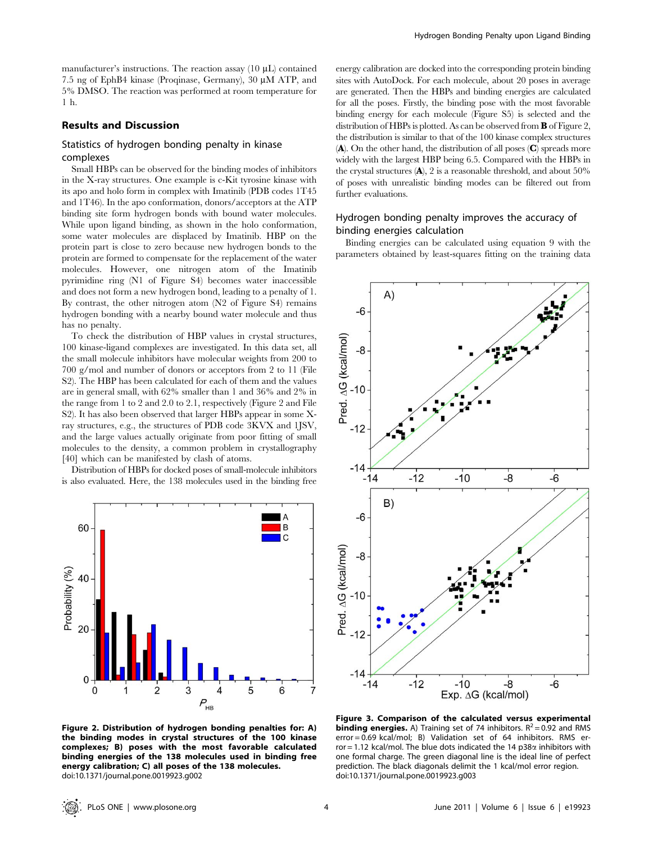manufacturer's instructions. The reaction assay  $(10 \mu L)$  contained 7.5 ng of EphB4 kinase (Proqinase, Germany), 30 µM ATP, and 5% DMSO. The reaction was performed at room temperature for 1 h.

# Results and Discussion

# Statistics of hydrogen bonding penalty in kinase complexes

Small HBPs can be observed for the binding modes of inhibitors in the X-ray structures. One example is c-Kit tyrosine kinase with its apo and holo form in complex with Imatinib (PDB codes 1T45 and 1T46). In the apo conformation, donors/acceptors at the ATP binding site form hydrogen bonds with bound water molecules. While upon ligand binding, as shown in the holo conformation, some water molecules are displaced by Imatinib. HBP on the protein part is close to zero because new hydrogen bonds to the protein are formed to compensate for the replacement of the water molecules. However, one nitrogen atom of the Imatinib pyrimidine ring (N1 of Figure S4) becomes water inaccessible and does not form a new hydrogen bond, leading to a penalty of 1. By contrast, the other nitrogen atom (N2 of Figure S4) remains hydrogen bonding with a nearby bound water molecule and thus has no penalty.

To check the distribution of HBP values in crystal structures, 100 kinase-ligand complexes are investigated. In this data set, all the small molecule inhibitors have molecular weights from 200 to 700 g/mol and number of donors or acceptors from 2 to 11 (File S2). The HBP has been calculated for each of them and the values are in general small, with 62% smaller than 1 and 36% and 2% in the range from 1 to 2 and 2.0 to 2.1, respectively (Figure 2 and File S2). It has also been observed that larger HBPs appear in some Xray structures, e.g., the structures of PDB code 3KVX and 1JSV, and the large values actually originate from poor fitting of small molecules to the density, a common problem in crystallography [40] which can be manifested by clash of atoms.

Distribution of HBPs for docked poses of small-molecule inhibitors is also evaluated. Here, the 138 molecules used in the binding free



energy calibration are docked into the corresponding protein binding sites with AutoDock. For each molecule, about 20 poses in average are generated. Then the HBPs and binding energies are calculated for all the poses. Firstly, the binding pose with the most favorable binding energy for each molecule (Figure S5) is selected and the distribution of HBPs is plotted. As can be observed from **B** of Figure 2, the distribution is similar to that of the 100 kinase complex structures  $(A)$ . On the other hand, the distribution of all poses  $(C)$  spreads more widely with the largest HBP being 6.5. Compared with the HBPs in the crystal structures  $(A)$ , 2 is a reasonable threshold, and about 50% of poses with unrealistic binding modes can be filtered out from further evaluations.

# Hydrogen bonding penalty improves the accuracy of binding energies calculation

Binding energies can be calculated using equation 9 with the parameters obtained by least-squares fitting on the training data



Figure 2. Distribution of hydrogen bonding penalties for: A) the binding modes in crystal structures of the 100 kinase complexes; B) poses with the most favorable calculated binding energies of the 138 molecules used in binding free energy calibration; C) all poses of the 138 molecules. doi:10.1371/journal.pone.0019923.g002

Figure 3. Comparison of the calculated versus experimental **binding energies.** A) Training set of 74 inhibitors.  $R^2 = 0.92$  and RMS error = 0.69 kcal/mol; B) Validation set of 64 inhibitors. RMS error = 1.12 kcal/mol. The blue dots indicated the 14  $p38\alpha$  inhibitors with one formal charge. The green diagonal line is the ideal line of perfect prediction. The black diagonals delimit the 1 kcal/mol error region. doi:10.1371/journal.pone.0019923.g003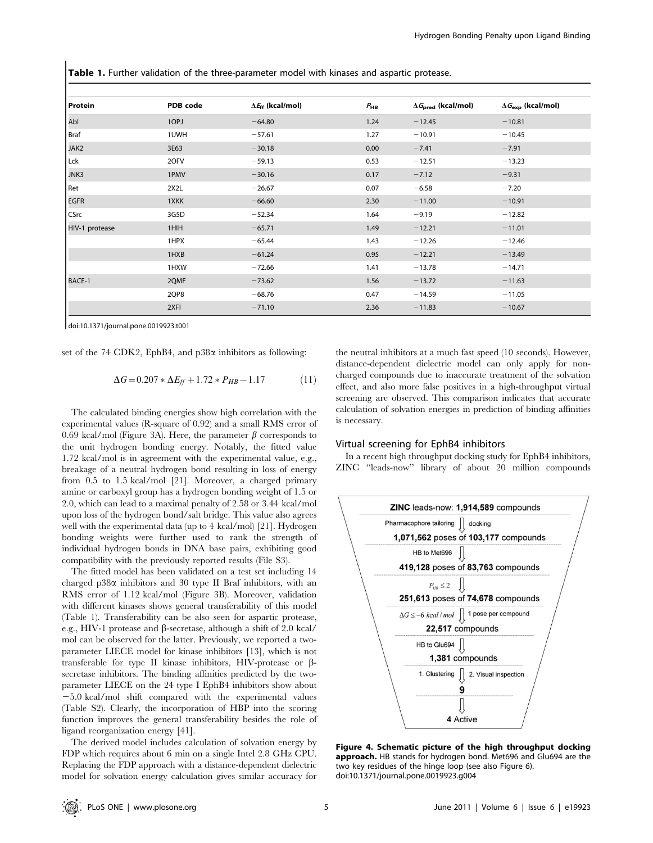Table 1. Further validation of the three-parameter model with kinases and aspartic protease.

| Protein        | PDB code | $\Delta E_{\text{ff}}$ (kcal/mol) | $P_{HB}$ | $\Delta\textit{G}_{\text{pred}}$ (kcal/mol) | $\Delta G_{\rm exp}$ (kcal/mol) |
|----------------|----------|-----------------------------------|----------|---------------------------------------------|---------------------------------|
| Abl            | 1OPJ     | $-64.80$                          | 1.24     | $-12.45$                                    | $-10.81$                        |
| Braf           | 1UWH     | $-57.61$                          | 1.27     | $-10.91$                                    | $-10.45$                        |
| JAK2           | 3E63     | $-30.18$                          | 0.00     | $-7.41$                                     | $-7.91$                         |
| Lck            | 2OFV     | $-59.13$                          | 0.53     | $-12.51$                                    | $-13.23$                        |
| JNK3           | 1PMV     | $-30.16$                          | 0.17     | $-7.12$                                     | $-9.31$                         |
| Ret            | 2X2L     | $-26.67$                          | 0.07     | $-6.58$                                     | $-7.20$                         |
| <b>EGFR</b>    | 1XKK     | $-66.60$                          | 2.30     | $-11.00$                                    | $-10.91$                        |
| CSrc           | 3G5D     | $-52.34$                          | 1.64     | $-9.19$                                     | $-12.82$                        |
| HIV-1 protease | 1HIH     | $-65.71$                          | 1.49     | $-12.21$                                    | $-11.01$                        |
|                | 1HPX     | $-65.44$                          | 1.43     | $-12.26$                                    | $-12.46$                        |
|                | 1HXB     | $-61.24$                          | 0.95     | $-12.21$                                    | $-13.49$                        |
|                | 1HXW     | $-72.66$                          | 1.41     | $-13.78$                                    | $-14.71$                        |
| BACE-1         | 2QMF     | $-73.62$                          | 1.56     | $-13.72$                                    | $-11.63$                        |
|                | 2QP8     | $-68.76$                          | 0.47     | $-14.59$                                    | $-11.05$                        |
|                | 2XFI     | $-71.10$                          | 2.36     | $-11.83$                                    | $-10.67$                        |

doi:10.1371/journal.pone.0019923.t001

set of the 74 CDK2, EphB4, and p38 $\alpha$  inhibitors as following:

$$
\Delta G = 0.207 * \Delta E_{ff} + 1.72 * P_{HB} - 1.17
$$
 (11)

The calculated binding energies show high correlation with the experimental values (R-square of 0.92) and a small RMS error of 0.69 kcal/mol (Figure 3A). Here, the parameter  $\beta$  corresponds to the unit hydrogen bonding energy. Notably, the fitted value 1.72 kcal/mol is in agreement with the experimental value, e.g., breakage of a neutral hydrogen bond resulting in loss of energy from 0.5 to 1.5 kcal/mol [21]. Moreover, a charged primary amine or carboxyl group has a hydrogen bonding weight of 1.5 or 2.0, which can lead to a maximal penalty of 2.58 or 3.44 kcal/mol upon loss of the hydrogen bond/salt bridge. This value also agrees well with the experimental data (up to 4 kcal/mol) [21]. Hydrogen bonding weights were further used to rank the strength of individual hydrogen bonds in DNA base pairs, exhibiting good compatibility with the previously reported results (File S3).

The fitted model has been validated on a test set including 14 charged p38a inhibitors and 30 type II Braf inhibitors, with an RMS error of 1.12 kcal/mol (Figure 3B). Moreover, validation with different kinases shows general transferability of this model (Table 1). Transferability can be also seen for aspartic protease, e.g., HIV-1 protease and  $\beta$ -secretase, although a shift of 2.0 kcal/ mol can be observed for the latter. Previously, we reported a twoparameter LIECE model for kinase inhibitors [13], which is not transferable for type II kinase inhibitors, HIV-protease or bsecretase inhibitors. The binding affinities predicted by the twoparameter LIECE on the 24 type I EphB4 inhibitors show about  $-5.0$  kcal/mol shift compared with the experimental values (Table S2). Clearly, the incorporation of HBP into the scoring function improves the general transferability besides the role of ligand reorganization energy [41].

The derived model includes calculation of solvation energy by FDP which requires about 6 min on a single Intel 2.8 GHz CPU. Replacing the FDP approach with a distance-dependent dielectric model for solvation energy calculation gives similar accuracy for

the neutral inhibitors at a much fast speed (10 seconds). However, distance-dependent dielectric model can only apply for noncharged compounds due to inaccurate treatment of the solvation effect, and also more false positives in a high-throughput virtual screening are observed. This comparison indicates that accurate calculation of solvation energies in prediction of binding affinities is necessary.

#### Virtual screening for EphB4 inhibitors

In a recent high throughput docking study for EphB4 inhibitors, ZINC ''leads-now'' library of about 20 million compounds



Figure 4. Schematic picture of the high throughput docking approach. HB stands for hydrogen bond. Met696 and Glu694 are the two key residues of the hinge loop (see also Figure 6). doi:10.1371/journal.pone.0019923.g004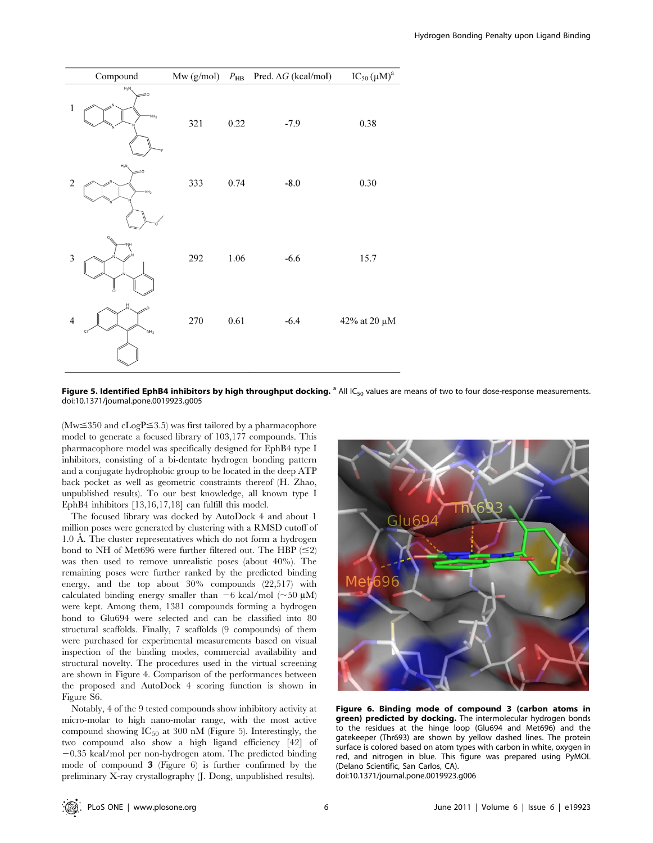

Figure 5. Identified EphB4 inhibitors by high throughput docking. <sup>a</sup> All IC<sub>50</sub> values are means of two to four dose-response measurements. doi:10.1371/journal.pone.0019923.g005

 $(Mw \leq 350$  and cLogP  $\leq 3.5$ ) was first tailored by a pharmacophore model to generate a focused library of 103,177 compounds. This pharmacophore model was specifically designed for EphB4 type I inhibitors, consisting of a bi-dentate hydrogen bonding pattern and a conjugate hydrophobic group to be located in the deep ATP back pocket as well as geometric constraints thereof (H. Zhao, unpublished results). To our best knowledge, all known type I EphB4 inhibitors [13,16,17,18] can fulfill this model.

The focused library was docked by AutoDock 4 and about 1 million poses were generated by clustering with a RMSD cutoff of 1.0 Å. The cluster representatives which do not form a hydrogen bond to NH of Met696 were further filtered out. The HBP  $(\leq 2)$ was then used to remove unrealistic poses (about 40%). The remaining poses were further ranked by the predicted binding energy, and the top about 30% compounds (22,517) with calculated binding energy smaller than  $-6$  kcal/mol ( $\sim$ 50  $\mu$ M) were kept. Among them, 1381 compounds forming a hydrogen bond to Glu694 were selected and can be classified into 80 structural scaffolds. Finally, 7 scaffolds (9 compounds) of them were purchased for experimental measurements based on visual inspection of the binding modes, commercial availability and structural novelty. The procedures used in the virtual screening are shown in Figure 4. Comparison of the performances between the proposed and AutoDock 4 scoring function is shown in Figure S6.

Notably, 4 of the 9 tested compounds show inhibitory activity at micro-molar to high nano-molar range, with the most active compound showing  $IC_{50}$  at 300 nM (Figure 5). Interestingly, the two compound also show a high ligand efficiency [42] of  $-0.35$  kcal/mol per non-hydrogen atom. The predicted binding mode of compound 3 (Figure 6) is further confirmed by the preliminary X-ray crystallography (J. Dong, unpublished results).



Figure 6. Binding mode of compound 3 (carbon atoms in green) predicted by docking. The intermolecular hydrogen bonds to the residues at the hinge loop (Glu694 and Met696) and the gatekeeper (Thr693) are shown by yellow dashed lines. The protein surface is colored based on atom types with carbon in white, oxygen in red, and nitrogen in blue. This figure was prepared using PyMOL (Delano Scientific, San Carlos, CA). doi:10.1371/journal.pone.0019923.g006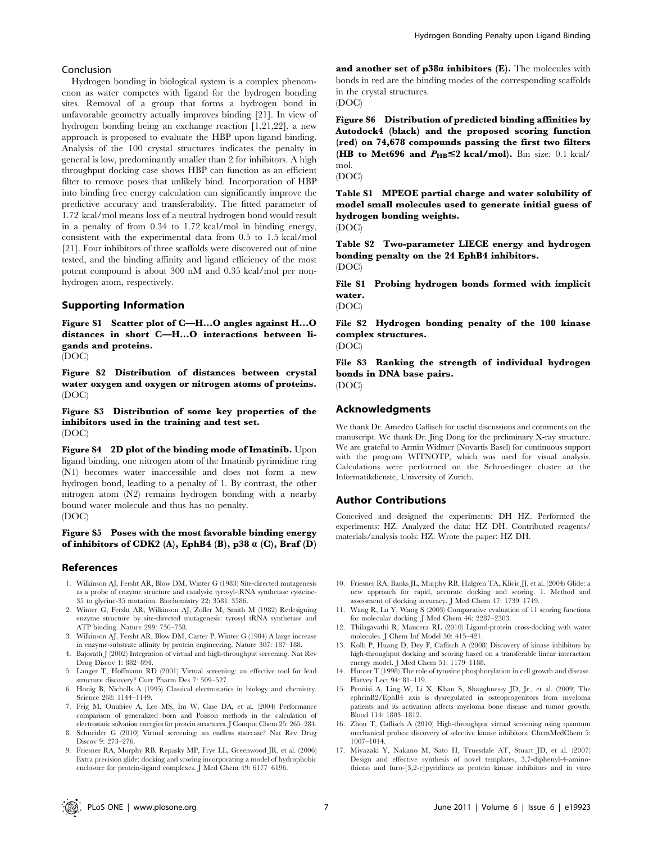## Conclusion

Hydrogen bonding in biological system is a complex phenomenon as water competes with ligand for the hydrogen bonding sites. Removal of a group that forms a hydrogen bond in unfavorable geometry actually improves binding [21]. In view of hydrogen bonding being an exchange reaction [1,21,22], a new approach is proposed to evaluate the HBP upon ligand binding. Analysis of the 100 crystal structures indicates the penalty in general is low, predominantly smaller than 2 for inhibitors. A high throughput docking case shows HBP can function as an efficient filter to remove poses that unlikely bind. Incorporation of HBP into binding free energy calculation can significantly improve the predictive accuracy and transferability. The fitted parameter of 1.72 kcal/mol means loss of a neutral hydrogen bond would result in a penalty of from 0.34 to 1.72 kcal/mol in binding energy, consistent with the experimental data from 0.5 to 1.5 kcal/mol [21]. Four inhibitors of three scaffolds were discovered out of nine tested, and the binding affinity and ligand efficiency of the most potent compound is about 300 nM and 0.35 kcal/mol per nonhydrogen atom, respectively.

## Supporting Information

Figure S1 Scatter plot of C—H...O angles against H...O distances in short C—H...O interactions between ligands and proteins.

(DOC)

Figure S2 Distribution of distances between crystal water oxygen and oxygen or nitrogen atoms of proteins. (DOC)

Figure S3 Distribution of some key properties of the inhibitors used in the training and test set. (DOC)

Figure S4 2D plot of the binding mode of Imatinib. Upon ligand binding, one nitrogen atom of the Imatinib pyrimidine ring (N1) becomes water inaccessible and does not form a new hydrogen bond, leading to a penalty of 1. By contrast, the other nitrogen atom (N2) remains hydrogen bonding with a nearby bound water molecule and thus has no penalty. (DOC)

## Figure S5 Poses with the most favorable binding energy of inhibitors of CDK2 (A), EphB4 (B), p38  $\alpha$  (C), Braf (D)

## References

- 1. Wilkinson AJ, Fersht AR, Blow DM, Winter G (1983) Site-directed mutagenesis as a probe of enzyme structure and catalysis: tyrosyl-tRNA synthetase cysteine-35 to glycine-35 mutation. Biochemistry 22: 3581–3586.
- 2. Winter G, Fersht AR, Wilkinson AJ, Zoller M, Smith M (1982) Redesigning enzyme structure by site-directed mutagenesis: tyrosyl tRNA synthetase and ATP binding. Nature 299: 756–758.
- 3. Wilkinson AJ, Fersht AR, Blow DM, Carter P, Winter G (1984) A large increase in enzyme-substrate affinity by protein engineering. Nature 307: 187–188.
- 4. Bajorath J (2002) Integration of virtual and high-throughput screening. Nat Rev Drug Discov 1: 882–894.
- 5. Langer T, Hoffmann RD (2001) Virtual screening: an effective tool for lead structure discovery? Curr Pharm Des 7: 509–527.
- 6. Honig B, Nicholls A (1995) Classical electrostatics in biology and chemistry. Science 268: 1144–1149.
- 7. Feig M, Onufriev A, Lee MS, Im W, Case DA, et al. (2004) Performance comparison of generalized born and Poisson methods in the calculation of electrostatic solvation energies for protein structures. J Comput Chem 25: 265–284.
- 8. Schneider G (2010) Virtual screening: an endless staircase? Nat Rev Drug Discov 9: 273–276.
- 9. Friesner RA, Murphy RB, Repasky MP, Frye LL, Greenwood JR, et al. (2006) Extra precision glide: docking and scoring incorporating a model of hydrophobic enclosure for protein-ligand complexes. J Med Chem 49: 6177–6196.

and another set of  $p38a$  inhibitors (E). The molecules with bonds in red are the binding modes of the corresponding scaffolds in the crystal structures. (DOC)

Figure S6 Distribution of predicted binding affinities by Autodock4 (black) and the proposed scoring function (red) on 74,678 compounds passing the first two filters (HB to Met696 and  $P_{\text{HB}} \leq 2 \text{ kcal/mol}$ ). Bin size: 0.1 kcal/ mol.

(DOC)

Table S1 MPEOE partial charge and water solubility of model small molecules used to generate initial guess of hydrogen bonding weights. (DOC)

Table S2 Two-parameter LIECE energy and hydrogen bonding penalty on the 24 EphB4 inhibitors. (DOC)

File S1 Probing hydrogen bonds formed with implicit water.

(DOC)

File S2 Hydrogen bonding penalty of the 100 kinase complex structures.

(DOC)

File S3 Ranking the strength of individual hydrogen bonds in DNA base pairs. (DOC)

## Acknowledgments

We thank Dr. Amedeo Caflisch for useful discussions and comments on the manuscript. We thank Dr. Jing Dong for the preliminary X-ray structure. We are grateful to Armin Widmer (Novartis Basel) for continuous support with the program WITNOTP, which was used for visual analysis. Calculations were performed on the Schroedinger cluster at the Informatikdienste, University of Zurich.

## Author Contributions

Conceived and designed the experiments: DH HZ. Performed the experiments: HZ. Analyzed the data: HZ DH. Contributed reagents/ materials/analysis tools: HZ. Wrote the paper: HZ DH.

- 10. Friesner RA, Banks JL, Murphy RB, Halgren TA, Klicic JJ, et al. (2004) Glide: a new approach for rapid, accurate docking and scoring. 1. Method and assessment of docking accuracy. J Med Chem 47: 1739–1749.
- 11. Wang R, Lu Y, Wang S (2003) Comparative evaluation of 11 scoring functions for molecular docking. J Med Chem 46: 2287–2303.
- 12. Thilagavathi R, Mancera RL (2010) Ligand-protein cross-docking with water molecules. J Chem Inf Model 50: 415–421.
- 13. Kolb P, Huang D, Dey F, Caflisch A (2008) Discovery of kinase inhibitors by high-throughput docking and scoring based on a transferable linear interaction energy model. J Med Chem 51: 1179–1188.
- 14. Hunter T (1998) The role of tyrosine phosphorylation in cell growth and disease. Harvey Lect 94: 81–119.
- 15. Pennisi A, Ling W, Li X, Khan S, Shaughnessy JD, Jr., et al. (2009) The ephrinB2/EphB4 axis is dysregulated in osteoprogenitors from myeloma patients and its activation affects myeloma bone disease and tumor growth. Blood 114: 1803–1812.
- 16. Zhou T, Caflisch A (2010) High-throughput virtual screening using quantum mechanical probes: discovery of selective kinase inhibitors. ChemMedChem 5: 1007–1014.
- 17. Miyazaki Y, Nakano M, Sato H, Truesdale AT, Stuart JD, et al. (2007) Design and effective synthesis of novel templates, 3,7-diphenyl-4-aminothieno and furo-[3,2-c]pyridines as protein kinase inhibitors and in vitro